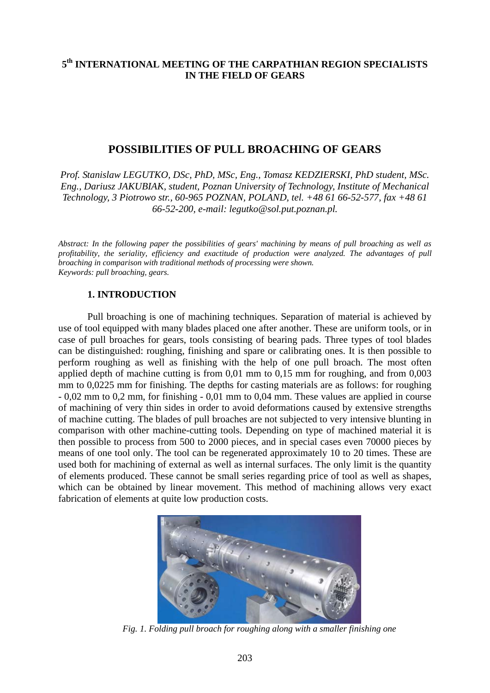## **5th INTERNATIONAL MEETING OF THE CARPATHIAN REGION SPECIALISTS IN THE FIELD OF GEARS**

# **POSSIBILITIES OF PULL BROACHING OF GEARS**

*Prof. Stanislaw LEGUTKO, DSc, PhD, MSc, Eng., Tomasz KEDZIERSKI, PhD student, MSc. Eng., Dariusz JAKUBIAK, student, Poznan University of Technology, Institute of Mechanical Technology, 3 Piotrowo str., 60-965 POZNAN, POLAND, tel. +48 61 66-52-577, fax +48 61 66-52-200, e-mail: [legutko@sol.put.poznan.pl](mailto:legutko@sol.put.poznan.pl).* 

*Abstract: In the following paper the possibilities of gears' machining by means of pull broaching as well as profitability, the seriality, efficiency and exactitude of production were analyzed. The advantages of pull broaching in comparison with traditional methods of processing were shown. Keywords: pull broaching, gears.* 

#### **1. INTRODUCTION**

Pull broaching is one of machining techniques. Separation of material is achieved by use of tool equipped with many blades placed one after another. These are uniform tools, or in case of pull broaches for gears, tools consisting of bearing pads. Three types of tool blades can be distinguished: roughing, finishing and spare or calibrating ones. It is then possible to perform roughing as well as finishing with the help of one pull broach. The most often applied depth of machine cutting is from 0,01 mm to 0,15 mm for roughing, and from 0,003 mm to 0,0225 mm for finishing. The depths for casting materials are as follows: for roughing - 0,02 mm to 0,2 mm, for finishing - 0,01 mm to 0,04 mm. These values are applied in course of machining of very thin sides in order to avoid deformations caused by extensive strengths of machine cutting. The blades of pull broaches are not subjected to very intensive blunting in comparison with other machine-cutting tools. Depending on type of machined material it is then possible to process from 500 to 2000 pieces, and in special cases even 70000 pieces by means of one tool only. The tool can be regenerated approximately 10 to 20 times. These are used both for machining of external as well as internal surfaces. The only limit is the quantity of elements produced. These cannot be small series regarding price of tool as well as shapes, which can be obtained by linear movement. This method of machining allows very exact fabrication of elements at quite low production costs.



*Fig. 1. Folding pull broach for roughing along with a smaller finishing one*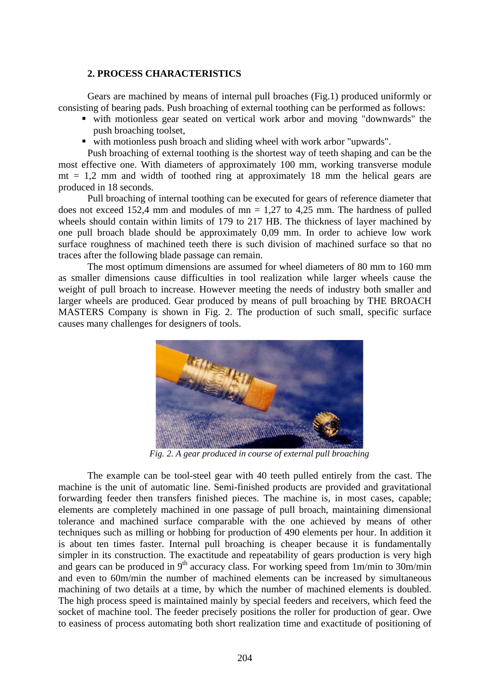### **2. PROCESS CHARACTERISTICS**

Gears are machined by means of internal pull broaches (Fig.1) produced uniformly or consisting of bearing pads. Push broaching of external toothing can be performed as follows:

- with motionless gear seated on vertical work arbor and moving "downwards" the push broaching toolset,
- with motionless push broach and sliding wheel with work arbor "upwards".

Push broaching of external toothing is the shortest way of teeth shaping and can be the most effective one. With diameters of approximately 100 mm, working transverse module  $mt = 1.2$  mm and width of toothed ring at approximately 18 mm the helical gears are produced in 18 seconds.

Pull broaching of internal toothing can be executed for gears of reference diameter that does not exceed 152,4 mm and modules of  $mn = 1,27$  to 4,25 mm. The hardness of pulled wheels should contain within limits of 179 to 217 HB. The thickness of layer machined by one pull broach blade should be approximately 0,09 mm. In order to achieve low work surface roughness of machined teeth there is such division of machined surface so that no traces after the following blade passage can remain.

The most optimum dimensions are assumed for wheel diameters of 80 mm to 160 mm as smaller dimensions cause difficulties in tool realization while larger wheels cause the weight of pull broach to increase. However meeting the needs of industry both smaller and larger wheels are produced. Gear produced by means of pull broaching by THE BROACH MASTERS Company is shown in Fig. 2. The production of such small, specific surface causes many challenges for designers of tools.



*Fig. 2. A gear produced in course of external pull broaching* 

The example can be tool-steel gear with 40 teeth pulled entirely from the cast. The machine is the unit of automatic line. Semi-finished products are provided and gravitational forwarding feeder then transfers finished pieces. The machine is, in most cases, capable; elements are completely machined in one passage of pull broach, maintaining dimensional tolerance and machined surface comparable with the one achieved by means of other techniques such as milling or hobbing for production of 490 elements per hour. In addition it is about ten times faster. Internal pull broaching is cheaper because it is fundamentally simpler in its construction. The exactitude and repeatability of gears production is very high and gears can be produced in  $9<sup>th</sup>$  accuracy class. For working speed from 1m/min to 30m/min and even to 60m/min the number of machined elements can be increased by simultaneous machining of two details at a time, by which the number of machined elements is doubled. The high process speed is maintained mainly by special feeders and receivers, which feed the socket of machine tool. The feeder precisely positions the roller for production of gear. Owe to easiness of process automating both short realization time and exactitude of positioning of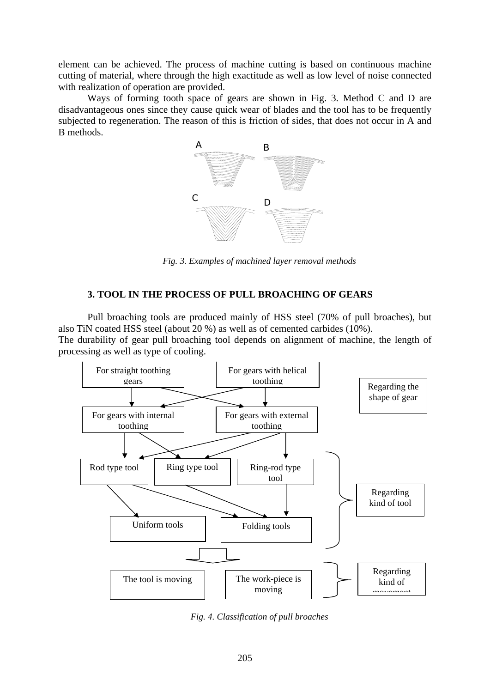element can be achieved. The process of machine cutting is based on continuous machine cutting of material, where through the high exactitude as well as low level of noise connected with realization of operation are provided.

Ways of forming tooth space of gears are shown in Fig. 3. Method C and D are disadvantageous ones since they cause quick wear of blades and the tool has to be frequently subjected to regeneration. The reason of this is friction of sides, that does not occur in A and B methods.



*Fig. 3. Examples of machined layer removal methods* 

### **3. TOOL IN THE PROCESS OF PULL BROACHING OF GEARS**

Pull broaching tools are produced mainly of HSS steel (70% of pull broaches), but also TiN coated HSS steel (about 20 %) as well as of cemented carbides (10%). The durability of gear pull broaching tool depends on alignment of machine, the length of

processing as well as type of cooling.



*Fig. 4. Classification of pull broaches*